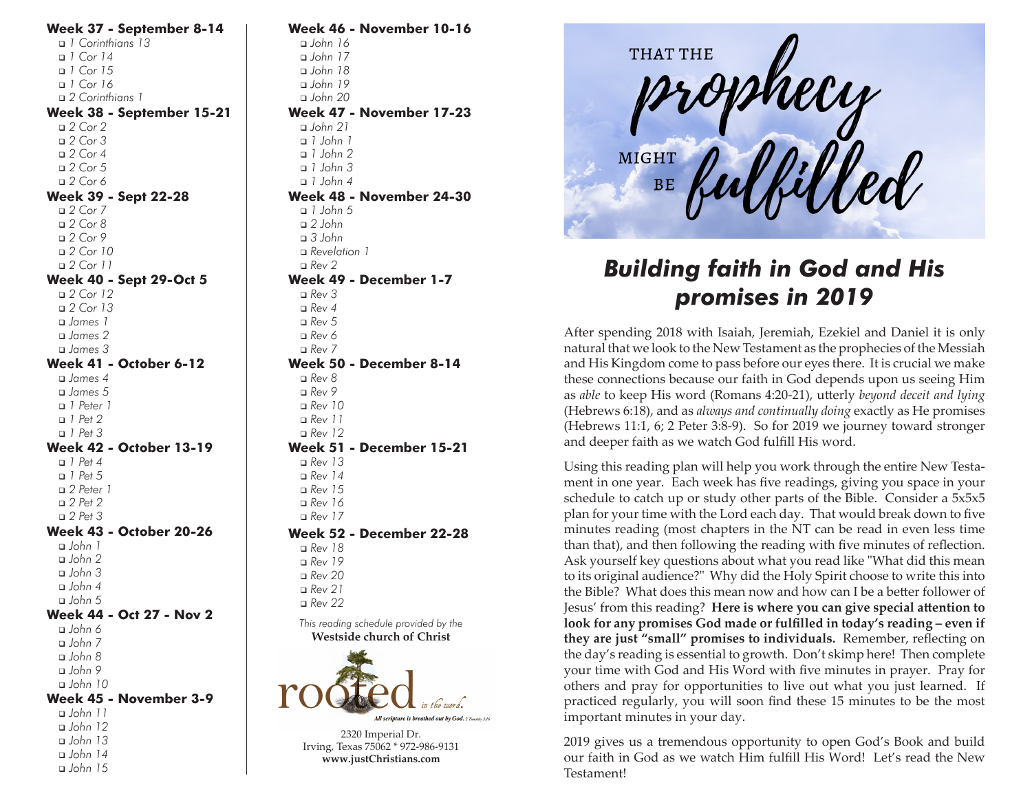**Week 37 - September 8-14** <sup>q</sup> *1 Corinthians 13* <sup>q</sup> *1 Cor 14* <sup>q</sup> *1 Cor 15* <sup>q</sup> *1 Cor 16* <sup>q</sup> *2 Corinthians 1* **Week 38 - September 15-21** <sup>q</sup> *2 Cor 2* <sup>q</sup> *2 Cor 3* <sup>q</sup> *2 Cor 4* <sup>q</sup> *2 Cor 5* <sup>q</sup> *2 Cor 6* **Week 39 - Sept 22-28** <sup>q</sup> *2 Cor 7* <sup>q</sup> *2 Cor 8* <sup>q</sup> *2 Cor 9* <sup>q</sup> *2 Cor 10* <sup>q</sup> *2 Cor 11* **Week 40 - Sept 29-Oct 5** <sup>q</sup> *2 Cor 12* <sup>q</sup> *2 Cor 13* <sup>q</sup> *James 1* <sup>q</sup> *James 2* <sup>q</sup> *James 3* **Week 41 - October 6-12** <sup>q</sup> *James 4* <sup>q</sup> *James 5* <sup>q</sup> *1 Peter 1* <sup>q</sup> *1 Pet 2* <sup>q</sup> *1 Pet 3* **Week 42 - October 13-19** <sup>q</sup> *1 Pet 4* <sup>q</sup> *1 Pet 5* <sup>q</sup> *2 Peter 1* <sup>q</sup> *2 Pet 2* <sup>q</sup> *2 Pet 3* **Week 43 - October 20-26** <sup>q</sup> *John 1* <sup>q</sup> *John 2* <sup>q</sup> *John 3* <sup>q</sup> *John 4* <sup>q</sup> *John 5* **Week 44 - Oct 27 - Nov 2** <sup>q</sup> *John 6* <sup>q</sup> *John 7* <sup>q</sup> *John 8* <sup>q</sup> *John 9* <sup>q</sup> *John 10* **Week 45 - November 3-9** <sup>q</sup> *John 11* <sup>q</sup> *John 12* <sup>q</sup> *John 13* <sup>q</sup> *John 14* <sup>q</sup> *John 15*

**Week 46 - November 10-16** <sup>q</sup> *John 16* <sup>q</sup> *John 17* <sup>q</sup> *John 18* <sup>q</sup> *John 19* <sup>q</sup> *John 20* **Week 47 - November 17-23** <sup>q</sup> *John 21* <sup>q</sup> *1 John 1* <sup>q</sup> *1 John 2* <sup>q</sup> *1 John 3* <sup>q</sup> *1 John 4* **Week 48 - November 24-30** <sup>q</sup> *1 John 5* <sup>q</sup> *2 John* <sup>q</sup> *3 John* <sup>q</sup> *Revelation 1* <sup>q</sup> *Rev 2* **Week 49 - December 1-7** <sup>q</sup> *Rev 3*  $R$ ev 4 <sup>q</sup> *Rev 5* <sup>q</sup> *Rev 6* <sup>q</sup> *Rev 7* **Week 50 - December 8-14** <sup>q</sup> *Rev 8* <sup>q</sup> *Rev 9* <sup>q</sup> *Rev 10* <sup>q</sup> *Rev 11* <sup>q</sup> *Rev 12* **Week 51 - December 15-21** <sup>q</sup> *Rev 13* <sup>q</sup> *Rev 14* <sup>q</sup> *Rev 15* <sup>q</sup> *Rev 16* <sup>q</sup> *Rev 17* **Week 52 - December 22-28** <sup>q</sup> *Rev 18* <sup>q</sup> *Rev 19* <sup>q</sup> *Rev 20* <sup>q</sup> *Rev 21* <sup>q</sup> *Rev 22 This reading schedule provided by the* **Westside church of Christ**

> **All scripture is breathed out by God.** 2 Timothy 3:16 2320 Imperial Dr.

Irving, Texas 75062 \* 972-986-9131 **www.justChristians.com**



## *Building faith in God and His promises in 2019*

After spending 2018 with Isaiah, Jeremiah, Ezekiel and Daniel it is only natural that we look to the New Testament as the prophecies of the Messiah and His Kingdom come to pass before our eyes there. It is crucial we make these connections because our faith in God depends upon us seeing Him as *able* to keep His word (Romans 4:20-21), utterly *beyond deceit and lying* (Hebrews 6:18), and as *always and continually doing* exactly as He promises (Hebrews 11:1, 6; 2 Peter 3:8-9). So for 2019 we journey toward stronger and deeper faith as we watch God fulfill His word.

Using this reading plan will help you work through the entire New Testament in one year. Each week has five readings, giving you space in your schedule to catch up or study other parts of the Bible. Consider a 5x5x5 plan for your time with the Lord each day. That would break down to five minutes reading (most chapters in the NT can be read in even less time than that), and then following the reading with five minutes of reflection. Ask yourself key questions about what you read like "What did this mean to its original audience?" Why did the Holy Spirit choose to write this into the Bible? What does this mean now and how can I be a better follower of Jesus' from this reading? **Here is where you can give special attention to look for any promises God made or fulfilled in today's reading – even if they are just "small" promises to individuals.** Remember, reflecting on the day's reading is essential to growth. Don't skimp here! Then complete your time with God and His Word with five minutes in prayer. Pray for others and pray for opportunities to live out what you just learned. If practiced regularly, you will soon find these 15 minutes to be the most important minutes in your day.

2019 gives us a tremendous opportunity to open God's Book and build our faith in God as we watch Him fulfill His Word! Let's read the New Testament!